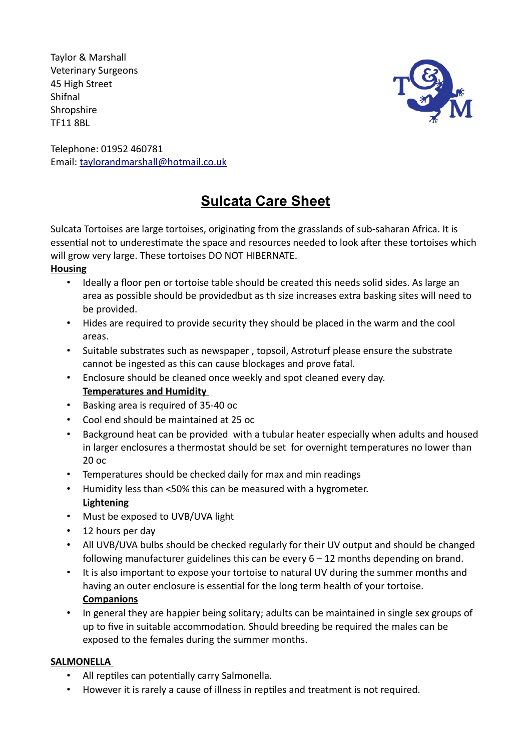Taylor & Marshall Veterinary Surgeons 45 High Street Shifnal **Shropshire** TF11 8BL



Telephone: 01952 460781 Email: taylorandmarshall@hotmail.co.uk

# **Sulcata Care Sheet**

Sulcata Tortoises are large tortoises, originating from the grasslands of sub-saharan Africa. It is essential not to underestimate the space and resources needed to look after these tortoises which will grow very large. These tortoises DO NOT HIBERNATE.

# **Housing**

- Ideally a floor pen or tortoise table should be created this needs solid sides. As large an area as possible should be providedbut as th size increases extra basking sites will need to be provided.
- Hides are required to provide security they should be placed in the warm and the cool areas.
- Suitable substrates such as newspaper , topsoil, Astroturf please ensure the substrate cannot be ingested as this can cause blockages and prove fatal.
- Enclosure should be cleaned once weekly and spot cleaned every day. **Temperatures and Humidity**
- Basking area is required of 35-40 oc
- Cool end should be maintained at 25 oc
- Background heat can be provided with a tubular heater especially when adults and housed in larger enclosures a thermostat should be set for overnight temperatures no lower than 20 oc
- Temperatures should be checked daily for max and min readings
- Humidity less than <50% this can be measured with a hygrometer. **Lightening**
- Must be exposed to UVB/UVA light
- 12 hours per day
- All UVB/UVA bulbs should be checked regularly for their UV output and should be changed following manufacturer guidelines this can be every 6 – 12 months depending on brand.
- It is also important to expose your tortoise to natural UV during the summer months and having an outer enclosure is essential for the long term health of your tortoise. **Companions**
- In general they are happier being solitary; adults can be maintained in single sex groups of up to five in suitable accommodation. Should breeding be required the males can be exposed to the females during the summer months.

### **SALMONELLA**

- All reptiles can potentially carry Salmonella.
- However it is rarely a cause of illness in reptiles and treatment is not required.